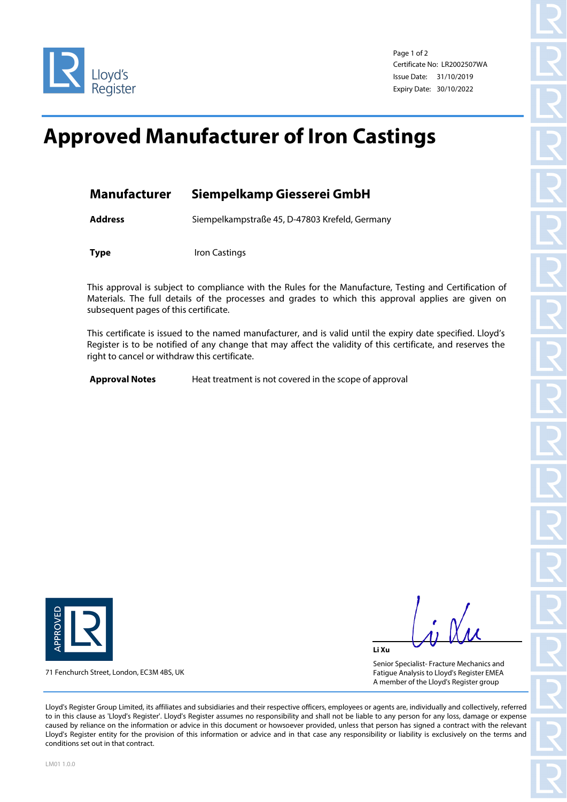

Page 1 of 2 Certificate No: LR2002507WA Issue Date: 31/10/2019 Expiry Date: 30/10/2022

## **Approved Manufacturer of Iron Castings**

| <b>Manufacturer</b> | Siempelkamp Giesserei GmbH                     |  |  |
|---------------------|------------------------------------------------|--|--|
| <b>Address</b>      | Siempelkampstraße 45, D-47803 Krefeld, Germany |  |  |
| <b>Type</b>         | Iron Castings                                  |  |  |

This approval is subject to compliance with the Rules for the Manufacture, Testing and Certification of Materials. The full details of the processes and grades to which this approval applies are given on subsequent pages of this certificate.

This certificate is issued to the named manufacturer, and is valid until the expiry date specified. Lloyd's Register is to be notified of any change that may affect the validity of this certificate, and reserves the right to cancel or withdraw this certificate.

**Approval Notes** Heat treatment is not covered in the scope of approval



71 Fenchurch Street, London, EC3M 4BS, UK

**Li Xu**

Senior Specialist- Fracture Mechanics and Fatigue Analysis to Lloyd's Register EMEA A member of the Lloyd's Register group

Lloyd's Register Group Limited, its affiliates and subsidiaries and their respective officers, employees or agents are, individually and collectively, referred to in this clause as 'Lloyd's Register'. Lloyd's Register assumes no responsibility and shall not be liable to any person for any loss, damage or expense caused by reliance on the information or advice in this document or howsoever provided, unless that person has signed a contract with the relevant Lloyd's Register entity for the provision of this information or advice and in that case any responsibility or liability is exclusively on the terms and conditions set out in that contract.